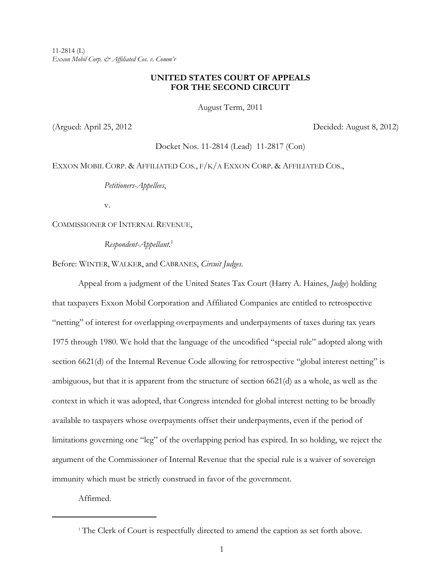11-2814 (L) *Exxon Mobil Corp. & Affiliated Cos. v. Comm'r*

# **UNITED STATES COURT OF APPEALS FOR THE SECOND CIRCUIT**

August Term, 2011

(Argued: April 25, 2012 Decided: August 8, 2012)

Docket Nos. 11-2814 (Lead) 11-2817 (Con)

EXXON MOBIL CORP. & AFFILIATED COS., F/K/A EXXON CORP. & AFFILIATED COS.,

*Petitioners-Appellees*,

v.

COMMISSIONER OF INTERNAL REVENUE,

*Respondent-Appellant.*<sup>1</sup>

Before: WINTER, WALKER, and CABRANES, *Circuit Judges*.

Appeal from a judgment of the United States Tax Court (Harry A. Haines, *Judge*) holding that taxpayers Exxon Mobil Corporation and Affiliated Companies are entitled to retrospective "netting" of interest for overlapping overpayments and underpayments of taxes during tax years 1975 through 1980. We hold that the language of the uncodified "special rule" adopted along with section 6621(d) of the Internal Revenue Code allowing for retrospective "global interest netting" is ambiguous, but that it is apparent from the structure of section 6621(d) as a whole, as well as the context in which it was adopted, that Congress intended for global interest netting to be broadly available to taxpayers whose overpayments offset their underpayments, even if the period of limitations governing one "leg" of the overlapping period has expired. In so holding, we reject the argument of the Commissioner of Internal Revenue that the special rule is a waiver of sovereign immunity which must be strictly construed in favor of the government.

Affirmed.

<sup>&</sup>lt;sup>1</sup> The Clerk of Court is respectfully directed to amend the caption as set forth above.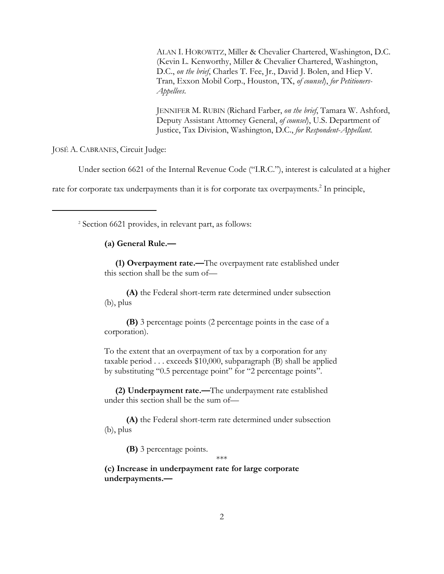ALAN I. HOROWITZ, Miller & Chevalier Chartered, Washington, D.C. (Kevin L. Kenworthy, Miller & Chevalier Chartered, Washington, D.C., *on the brief*, Charles T. Fee, Jr., David J. Bolen, and Hiep V. Tran, Exxon Mobil Corp., Houston, TX, *of counsel*), *for Petitioners-Appellees*.

JENNIFER M. RUBIN (Richard Farber, *on the brief*, Tamara W. Ashford, Deputy Assistant Attorney General, *of counsel*), U.S. Department of Justice, Tax Division, Washington, D.C., *for Respondent*-*Appellant*.

JOSÉ A. CABRANES, Circuit Judge:

Under section 6621 of the Internal Revenue Code ("I.R.C."), interest is calculated at a higher

rate for corporate tax underpayments than it is for corporate tax overpayments.<sup>2</sup> In principle,

2 Section 6621 provides, in relevant part, as follows:

## **(a) General Rule.—**

 **(1) Overpayment rate.—**The overpayment rate established under this section shall be the sum of—

 **(A)** the Federal short-term rate determined under subsection (b), plus

 **(B)** 3 percentage points (2 percentage points in the case of a corporation).

To the extent that an overpayment of tax by a corporation for any taxable period . . . exceeds \$10,000, subparagraph (B) shall be applied by substituting "0.5 percentage point" for "2 percentage points".

 **(2) Underpayment rate.—**The underpayment rate established under this section shall be the sum of—

 **(A)** the Federal short-term rate determined under subsection (b), plus

**(B)** 3 percentage points.

\*\*\*

**(c) Increase in underpayment rate for large corporate underpayments.—**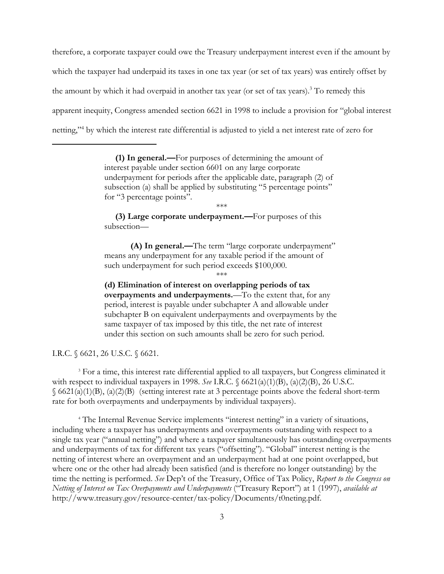therefore, a corporate taxpayer could owe the Treasury underpayment interest even if the amount by which the taxpayer had underpaid its taxes in one tax year (or set of tax years) was entirely offset by the amount by which it had overpaid in another tax year (or set of tax years).<sup>3</sup> To remedy this apparent inequity, Congress amended section 6621 in 1998 to include a provision for "global interest netting,"4 by which the interest rate differential is adjusted to yield a net interest rate of zero for

> **(1) In general.—**For purposes of determining the amount of interest payable under section 6601 on any large corporate underpayment for periods after the applicable date, paragraph (2) of subsection (a) shall be applied by substituting "5 percentage points" for "3 percentage points".

> > \*\*\*

 **(3) Large corporate underpayment.—**For purposes of this subsection—

**(A) In general.—**The term "large corporate underpayment" means any underpayment for any taxable period if the amount of such underpayment for such period exceeds \$100,000. \*\*\*

**(d) Elimination of interest on overlapping periods of tax overpayments and underpayments.**—To the extent that, for any period, interest is payable under subchapter A and allowable under subchapter B on equivalent underpayments and overpayments by the same taxpayer of tax imposed by this title, the net rate of interest under this section on such amounts shall be zero for such period.

I.R.C. § 6621, 26 U.S.C. § 6621.

<sup>3</sup> For a time, this interest rate differential applied to all taxpayers, but Congress eliminated it with respect to individual taxpayers in 1998. *See* I.R.C. § 6621(a)(1)(B), (a)(2)(B), 26 U.S.C.  $\S$  6621(a)(1)(B), (a)(2)(B) (setting interest rate at 3 percentage points above the federal short-term rate for both overpayments and underpayments by individual taxpayers).

<sup>4</sup> The Internal Revenue Service implements "interest netting" in a variety of situations, including where a taxpayer has underpayments and overpayments outstanding with respect to a single tax year ("annual netting") and where a taxpayer simultaneously has outstanding overpayments and underpayments of tax for different tax years ("offsetting"). "Global" interest netting is the netting of interest where an overpayment and an underpayment had at one point overlapped, but where one or the other had already been satisfied (and is therefore no longer outstanding) by the time the netting is performed. *See* Dep't of the Treasury, Office of Tax Policy, *Report to the Congress on Netting of Interest on Tax Overpayments and Underpayments* ("Treasury Report") at 1 (1997), *available at* http://www.treasury.gov/resource-center/tax-policy/Documents/t0neting.pdf.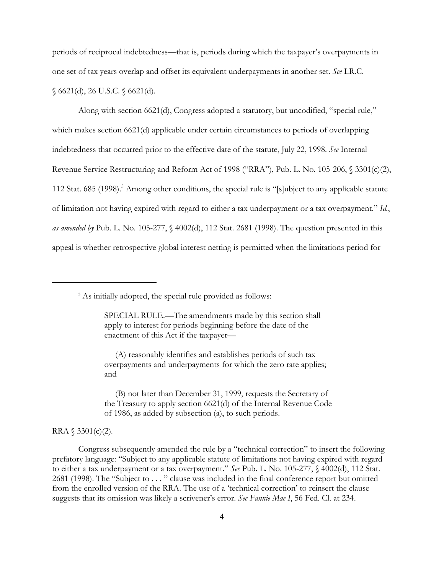periods of reciprocal indebtedness—that is, periods during which the taxpayer's overpayments in one set of tax years overlap and offset its equivalent underpayments in another set. *See* I.R.C. § 6621(d), 26 U.S.C. § 6621(d).

Along with section 6621(d), Congress adopted a statutory, but uncodified, "special rule," which makes section 6621(d) applicable under certain circumstances to periods of overlapping indebtedness that occurred prior to the effective date of the statute, July 22, 1998. *See* Internal Revenue Service Restructuring and Reform Act of 1998 ("RRA"), Pub. L. No. 105-206, § 3301(c)(2), 112 Stat. 685 (1998).<sup>5</sup> Among other conditions, the special rule is "[s]ubject to any applicable statute of limitation not having expired with regard to either a tax underpayment or a tax overpayment." *Id.*, *as amended by* Pub. L. No. 105-277, § 4002(d), 112 Stat. 2681 (1998). The question presented in this appeal is whether retrospective global interest netting is permitted when the limitations period for

<sup>5</sup> As initially adopted, the special rule provided as follows:

SPECIAL RULE.—The amendments made by this section shall apply to interest for periods beginning before the date of the enactment of this Act if the taxpayer—

 (A) reasonably identifies and establishes periods of such tax overpayments and underpayments for which the zero rate applies; and

 (B) not later than December 31, 1999, requests the Secretary of the Treasury to apply section 6621(d) of the Internal Revenue Code of 1986, as added by subsection (a), to such periods.

RRA  $$3301(c)(2)$ .

Congress subsequently amended the rule by a "technical correction" to insert the following prefatory language: "Subject to any applicable statute of limitations not having expired with regard to either a tax underpayment or a tax overpayment." *See* Pub. L. No. 105-277, § 4002(d), 112 Stat. 2681 (1998). The "Subject to . . . " clause was included in the final conference report but omitted from the enrolled version of the RRA. The use of a 'technical correction' to reinsert the clause suggests that its omission was likely a scrivener's error. *See Fannie Mae I*, 56 Fed. Cl. at 234.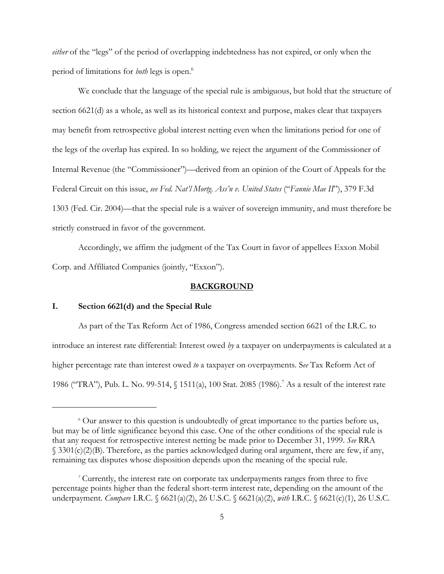*either* of the "legs" of the period of overlapping indebtedness has not expired, or only when the period of limitations for *both* legs is open.6

We conclude that the language of the special rule is ambiguous, but hold that the structure of section 6621(d) as a whole, as well as its historical context and purpose, makes clear that taxpayers may benefit from retrospective global interest netting even when the limitations period for one of the legs of the overlap has expired. In so holding, we reject the argument of the Commissioner of Internal Revenue (the "Commissioner")—derived from an opinion of the Court of Appeals for the Federal Circuit on this issue, *see Fed. Nat'l Mortg. Ass'n v. United States* ("*Fannie Mae II*"), 379 F.3d 1303 (Fed. Cir. 2004)—that the special rule is a waiver of sovereign immunity, and must therefore be strictly construed in favor of the government.

Accordingly, we affirm the judgment of the Tax Court in favor of appellees Exxon Mobil Corp. and Affiliated Companies (jointly, "Exxon").

### **BACKGROUND**

### **I. Section 6621(d) and the Special Rule**

As part of the Tax Reform Act of 1986, Congress amended section 6621 of the I.R.C. to introduce an interest rate differential: Interest owed *by* a taxpayer on underpayments is calculated at a higher percentage rate than interest owed *to* a taxpayer on overpayments. S*ee* Tax Reform Act of 1986 ("TRA"), Pub. L. No. 99-514, § 1511(a), 100 Stat. 2085 (1986).<sup>7</sup> As a result of the interest rate

<sup>&</sup>lt;sup>6</sup> Our answer to this question is undoubtedly of great importance to the parties before us, but may be of little significance beyond this case. One of the other conditions of the special rule is that any request for retrospective interest netting be made prior to December 31, 1999. *See* RRA § 3301(c)(2)(B). Therefore, as the parties acknowledged during oral argument, there are few, if any, remaining tax disputes whose disposition depends upon the meaning of the special rule.

<sup>7</sup> Currently, the interest rate on corporate tax underpayments ranges from three to five percentage points higher than the federal short-term interest rate, depending on the amount of the underpayment. *Compare* I.R.C. § 6621(a)(2), 26 U.S.C. § 6621(a)(2), *with* I.R.C. § 6621(c)(1), 26 U.S.C.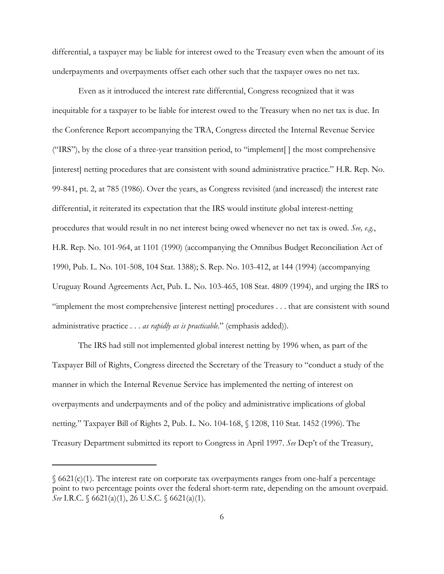differential, a taxpayer may be liable for interest owed to the Treasury even when the amount of its underpayments and overpayments offset each other such that the taxpayer owes no net tax.

Even as it introduced the interest rate differential, Congress recognized that it was inequitable for a taxpayer to be liable for interest owed to the Treasury when no net tax is due. In the Conference Report accompanying the TRA, Congress directed the Internal Revenue Service ("IRS"), by the close of a three-year transition period, to "implement[ ] the most comprehensive [interest] netting procedures that are consistent with sound administrative practice." H.R. Rep. No. 99-841, pt. 2, at 785 (1986). Over the years, as Congress revisited (and increased) the interest rate differential, it reiterated its expectation that the IRS would institute global interest-netting procedures that would result in no net interest being owed whenever no net tax is owed. *See, e.g.*, H.R. Rep. No. 101-964, at 1101 (1990) (accompanying the Omnibus Budget Reconciliation Act of 1990, Pub. L. No. 101-508, 104 Stat. 1388); S. Rep. No. 103-412, at 144 (1994) (accompanying Uruguay Round Agreements Act, Pub. L. No. 103-465, 108 Stat. 4809 (1994), and urging the IRS to "implement the most comprehensive [interest netting] procedures . . . that are consistent with sound administrative practice . . . *as rapidly as is practicable*." (emphasis added)).

The IRS had still not implemented global interest netting by 1996 when, as part of the Taxpayer Bill of Rights, Congress directed the Secretary of the Treasury to "conduct a study of the manner in which the Internal Revenue Service has implemented the netting of interest on overpayments and underpayments and of the policy and administrative implications of global netting." Taxpayer Bill of Rights 2, Pub. L. No. 104-168, § 1208, 110 Stat. 1452 (1996). The Treasury Department submitted its report to Congress in April 1997. *See* Dep't of the Treasury,

 $§ 6621(c)(1)$ . The interest rate on corporate tax overpayments ranges from one-half a percentage point to two percentage points over the federal short-term rate, depending on the amount overpaid. *See* I.R.C. § 6621(a)(1), 26 U.S.C. § 6621(a)(1).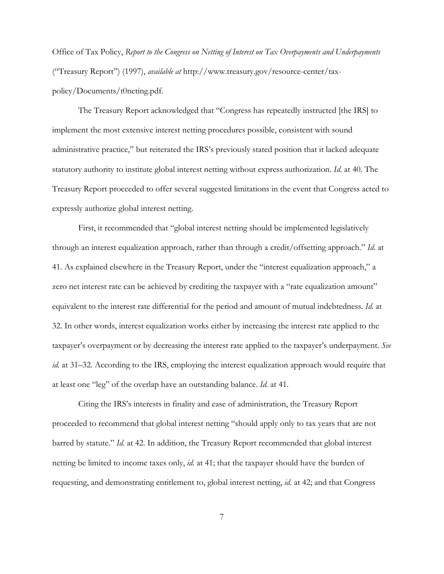Office of Tax Policy, *Report to the Congress on Netting of Interest on Tax Overpayments and Underpayments* ("Treasury Report") (1997), *available at* http://www.treasury.gov/resource-center/taxpolicy/Documents/t0neting.pdf.

The Treasury Report acknowledged that "Congress has repeatedly instructed [the IRS] to implement the most extensive interest netting procedures possible, consistent with sound administrative practice," but reiterated the IRS's previously stated position that it lacked adequate statutory authority to institute global interest netting without express authorization. *Id.* at 40. The Treasury Report proceeded to offer several suggested limitations in the event that Congress acted to expressly authorize global interest netting.

First, it recommended that "global interest netting should be implemented legislatively through an interest equalization approach, rather than through a credit/offsetting approach." *Id.* at 41. As explained elsewhere in the Treasury Report, under the "interest equalization approach," a zero net interest rate can be achieved by crediting the taxpayer with a "rate equalization amount" equivalent to the interest rate differential for the period and amount of mutual indebtedness. *Id.* at 32. In other words, interest equalization works either by increasing the interest rate applied to the taxpayer's overpayment or by decreasing the interest rate applied to the taxpayer's underpayment. *See id.* at 31–32. According to the IRS, employing the interest equalization approach would require that at least one "leg" of the overlap have an outstanding balance. *Id.* at 41.

Citing the IRS's interests in finality and ease of administration, the Treasury Report proceeded to recommend that global interest netting "should apply only to tax years that are not barred by statute." *Id.* at 42. In addition, the Treasury Report recommended that global interest netting be limited to income taxes only, *id.* at 41; that the taxpayer should have the burden of requesting, and demonstrating entitlement to, global interest netting, *id.* at 42; and that Congress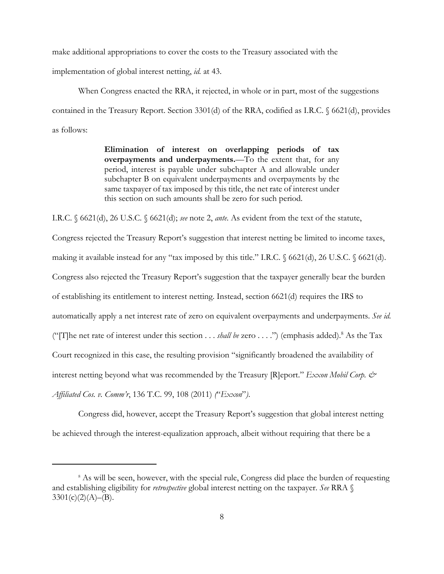make additional appropriations to cover the costs to the Treasury associated with the

implementation of global interest netting, *id.* at 43.

When Congress enacted the RRA, it rejected, in whole or in part, most of the suggestions contained in the Treasury Report. Section 3301(d) of the RRA, codified as I.R.C. § 6621(d), provides as follows:

> **Elimination of interest on overlapping periods of tax overpayments and underpayments.**—To the extent that, for any period, interest is payable under subchapter A and allowable under subchapter B on equivalent underpayments and overpayments by the same taxpayer of tax imposed by this title, the net rate of interest under this section on such amounts shall be zero for such period.

I.R.C. § 6621(d), 26 U.S.C. § 6621(d); *see* note 2, *ante*. As evident from the text of the statute,

Congress rejected the Treasury Report's suggestion that interest netting be limited to income taxes, making it available instead for any "tax imposed by this title." I.R.C. § 6621(d), 26 U.S.C. § 6621(d). Congress also rejected the Treasury Report's suggestion that the taxpayer generally bear the burden of establishing its entitlement to interest netting. Instead, section 6621(d) requires the IRS to automatically apply a net interest rate of zero on equivalent overpayments and underpayments. *See id.* ("[T]he net rate of interest under this section . . . *shall be* zero . . . .") (emphasis added).8 As the Tax Court recognized in this case, the resulting provision "significantly broadened the availability of interest netting beyond what was recommended by the Treasury [R]eport." *Exxon Mobil Corp. & Affiliated Cos. v. Comm'r*, 136 T.C. 99, 108 (2011) *(*"*Exxon*"*)*.

Congress did, however, accept the Treasury Report's suggestion that global interest netting be achieved through the interest-equalization approach, albeit without requiring that there be a

<sup>&</sup>lt;sup>8</sup> As will be seen, however, with the special rule, Congress did place the burden of requesting and establishing eligibility for *retrospective* global interest netting on the taxpayer. *See* RRA §  $3301(c)(2)(A)–(B).$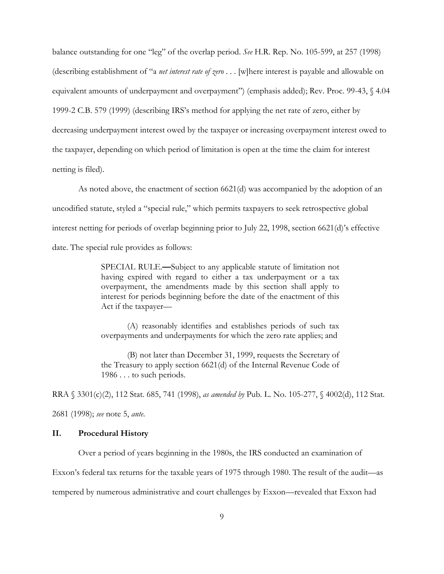balance outstanding for one "leg" of the overlap period. *See* H.R. Rep. No. 105-599, at 257 (1998) (describing establishment of "a *net interest rate of zero* . . . [w]here interest is payable and allowable on equivalent amounts of underpayment and overpayment") (emphasis added); Rev. Proc. 99-43, § 4.04 1999-2 C.B. 579 (1999) (describing IRS's method for applying the net rate of zero, either by decreasing underpayment interest owed by the taxpayer or increasing overpayment interest owed to the taxpayer, depending on which period of limitation is open at the time the claim for interest netting is filed).

As noted above, the enactment of section 6621(d) was accompanied by the adoption of an uncodified statute, styled a "special rule," which permits taxpayers to seek retrospective global interest netting for periods of overlap beginning prior to July 22, 1998, section 6621(d)'s effective date. The special rule provides as follows:

> SPECIAL RULE.**—**Subject to any applicable statute of limitation not having expired with regard to either a tax underpayment or a tax overpayment, the amendments made by this section shall apply to interest for periods beginning before the date of the enactment of this Act if the taxpayer—

> (A) reasonably identifies and establishes periods of such tax overpayments and underpayments for which the zero rate applies; and

> (B) not later than December 31, 1999, requests the Secretary of the Treasury to apply section 6621(d) of the Internal Revenue Code of 1986 . . . to such periods.

RRA § 3301(c)(2), 112 Stat. 685, 741 (1998), *as amended by* Pub. L. No. 105-277, § 4002(d), 112 Stat.

2681 (1998); *see* note 5, *ante*.

### **II. Procedural History**

Over a period of years beginning in the 1980s, the IRS conducted an examination of

Exxon's federal tax returns for the taxable years of 1975 through 1980. The result of the audit—as

tempered by numerous administrative and court challenges by Exxon—revealed that Exxon had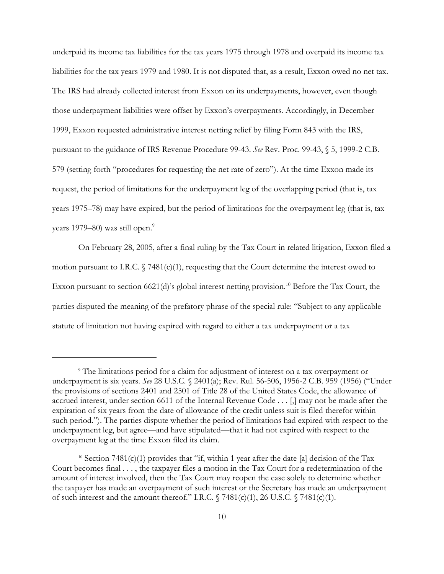underpaid its income tax liabilities for the tax years 1975 through 1978 and overpaid its income tax liabilities for the tax years 1979 and 1980. It is not disputed that, as a result, Exxon owed no net tax. The IRS had already collected interest from Exxon on its underpayments, however, even though those underpayment liabilities were offset by Exxon's overpayments. Accordingly, in December 1999, Exxon requested administrative interest netting relief by filing Form 843 with the IRS, pursuant to the guidance of IRS Revenue Procedure 99-43. *See* Rev. Proc. 99-43, § 5, 1999-2 C.B. 579 (setting forth "procedures for requesting the net rate of zero"). At the time Exxon made its request, the period of limitations for the underpayment leg of the overlapping period (that is, tax years 1975–78) may have expired, but the period of limitations for the overpayment leg (that is, tax years 1979–80) was still open.<sup>9</sup>

On February 28, 2005, after a final ruling by the Tax Court in related litigation, Exxon filed a motion pursuant to I.R.C.  $\sqrt{7481(c)(1)}$ , requesting that the Court determine the interest owed to Exxon pursuant to section  $6621(d)$ 's global interest netting provision.<sup>10</sup> Before the Tax Court, the parties disputed the meaning of the prefatory phrase of the special rule: "Subject to any applicable statute of limitation not having expired with regard to either a tax underpayment or a tax

<sup>9</sup> The limitations period for a claim for adjustment of interest on a tax overpayment or underpayment is six years. *See* 28 U.S.C. § 2401(a); Rev. Rul. 56-506, 1956-2 C.B. 959 (1956) ("Under the provisions of sections 2401 and 2501 of Title 28 of the United States Code, the allowance of accrued interest, under section 6611 of the Internal Revenue Code . . . [,] may not be made after the expiration of six years from the date of allowance of the credit unless suit is filed therefor within such period."). The parties dispute whether the period of limitations had expired with respect to the underpayment leg, but agree—and have stipulated—that it had not expired with respect to the overpayment leg at the time Exxon filed its claim.

<sup>&</sup>lt;sup>10</sup> Section 7481(c)(1) provides that "if, within 1 year after the date [a] decision of the Tax Court becomes final . . . , the taxpayer files a motion in the Tax Court for a redetermination of the amount of interest involved, then the Tax Court may reopen the case solely to determine whether the taxpayer has made an overpayment of such interest or the Secretary has made an underpayment of such interest and the amount thereof." I.R.C.  $\sqrt{}$  7481(c)(1), 26 U.S.C.  $\sqrt{}$  7481(c)(1).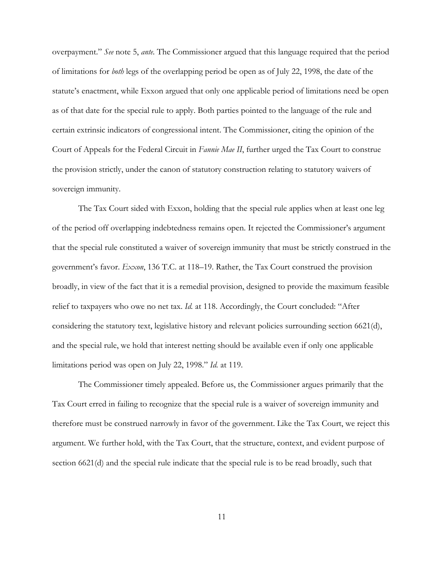overpayment." *See* note 5, *ante.* The Commissioner argued that this language required that the period of limitations for *both* legs of the overlapping period be open as of July 22, 1998, the date of the statute's enactment, while Exxon argued that only one applicable period of limitations need be open as of that date for the special rule to apply. Both parties pointed to the language of the rule and certain extrinsic indicators of congressional intent. The Commissioner, citing the opinion of the Court of Appeals for the Federal Circuit in *Fannie Mae II*, further urged the Tax Court to construe the provision strictly, under the canon of statutory construction relating to statutory waivers of sovereign immunity.

The Tax Court sided with Exxon, holding that the special rule applies when at least one leg of the period off overlapping indebtedness remains open. It rejected the Commissioner's argument that the special rule constituted a waiver of sovereign immunity that must be strictly construed in the government's favor. *Exxon*, 136 T.C. at 118–19. Rather, the Tax Court construed the provision broadly, in view of the fact that it is a remedial provision, designed to provide the maximum feasible relief to taxpayers who owe no net tax. *Id.* at 118. Accordingly, the Court concluded: "After considering the statutory text, legislative history and relevant policies surrounding section 6621(d), and the special rule, we hold that interest netting should be available even if only one applicable limitations period was open on July 22, 1998." *Id.* at 119.

The Commissioner timely appealed. Before us, the Commissioner argues primarily that the Tax Court erred in failing to recognize that the special rule is a waiver of sovereign immunity and therefore must be construed narrowly in favor of the government. Like the Tax Court, we reject this argument. We further hold, with the Tax Court, that the structure, context, and evident purpose of section 6621(d) and the special rule indicate that the special rule is to be read broadly, such that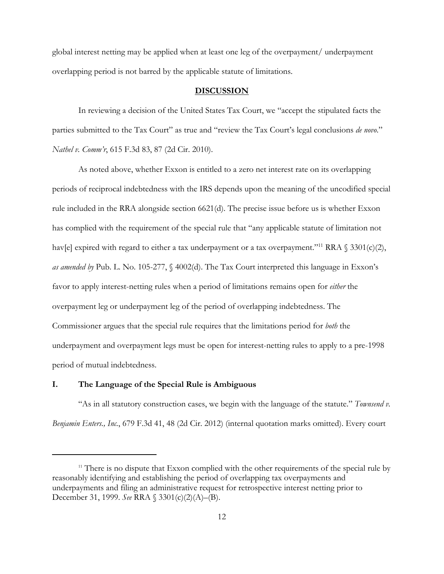global interest netting may be applied when at least one leg of the overpayment/ underpayment overlapping period is not barred by the applicable statute of limitations.

#### **DISCUSSION**

In reviewing a decision of the United States Tax Court, we "accept the stipulated facts the parties submitted to the Tax Court" as true and "review the Tax Court's legal conclusions *de novo*." *Nathel v. Comm'r*, 615 F.3d 83, 87 (2d Cir. 2010).

As noted above, whether Exxon is entitled to a zero net interest rate on its overlapping periods of reciprocal indebtedness with the IRS depends upon the meaning of the uncodified special rule included in the RRA alongside section 6621(d). The precise issue before us is whether Exxon has complied with the requirement of the special rule that "any applicable statute of limitation not hav[e] expired with regard to either a tax underpayment or a tax overpayment."<sup>11</sup> RRA  $\$ 3301(c)(2)$ , *as amended by* Pub. L. No. 105-277, § 4002(d). The Tax Court interpreted this language in Exxon's favor to apply interest-netting rules when a period of limitations remains open for *either* the overpayment leg or underpayment leg of the period of overlapping indebtedness. The Commissioner argues that the special rule requires that the limitations period for *both* the underpayment and overpayment legs must be open for interest-netting rules to apply to a pre-1998 period of mutual indebtedness.

### **I. The Language of the Special Rule is Ambiguous**

"As in all statutory construction cases, we begin with the language of the statute." *Townsend v. Benjamin Enters., Inc.*, 679 F.3d 41, 48 (2d Cir. 2012) (internal quotation marks omitted). Every court

 $11$  There is no dispute that Exxon complied with the other requirements of the special rule by reasonably identifying and establishing the period of overlapping tax overpayments and underpayments and filing an administrative request for retrospective interest netting prior to December 31, 1999. *See* RRA § 3301(c)(2)(A)–(B).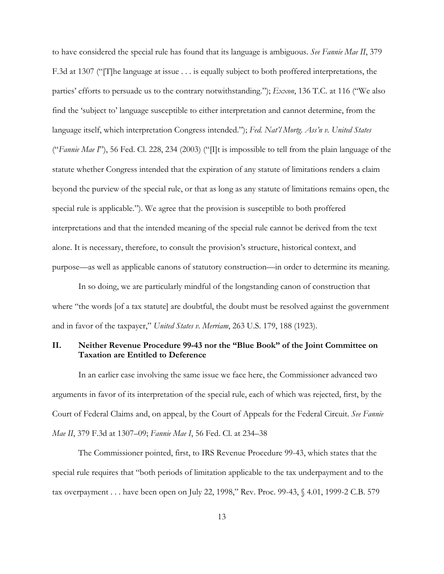to have considered the special rule has found that its language is ambiguous. *See Fannie Mae II*, 379 F.3d at 1307 ("[T]he language at issue . . . is equally subject to both proffered interpretations, the parties' efforts to persuade us to the contrary notwithstanding."); *Exxon*, 136 T.C. at 116 ("We also find the 'subject to' language susceptible to either interpretation and cannot determine, from the language itself, which interpretation Congress intended."); *Fed. Nat'l Mortg. Ass'n v. United States* ("*Fannie Mae I*"), 56 Fed. Cl. 228, 234 (2003) ("[I]t is impossible to tell from the plain language of the statute whether Congress intended that the expiration of any statute of limitations renders a claim beyond the purview of the special rule, or that as long as any statute of limitations remains open, the special rule is applicable."). We agree that the provision is susceptible to both proffered interpretations and that the intended meaning of the special rule cannot be derived from the text alone. It is necessary, therefore, to consult the provision's structure, historical context, and purpose—as well as applicable canons of statutory construction—in order to determine its meaning.

In so doing, we are particularly mindful of the longstanding canon of construction that where "the words [of a tax statute] are doubtful, the doubt must be resolved against the government and in favor of the taxpayer," *United States v. Merriam*, 263 U.S. 179, 188 (1923).

## **II. Neither Revenue Procedure 99-43 nor the "Blue Book" of the Joint Committee on Taxation are Entitled to Deference**

In an earlier case involving the same issue we face here, the Commissioner advanced two arguments in favor of its interpretation of the special rule, each of which was rejected, first, by the Court of Federal Claims and, on appeal, by the Court of Appeals for the Federal Circuit. *See Fannie Mae II*, 379 F.3d at 1307–09; *Fannie Mae I*, 56 Fed. Cl. at 234–38

The Commissioner pointed, first, to IRS Revenue Procedure 99-43, which states that the special rule requires that "both periods of limitation applicable to the tax underpayment and to the tax overpayment . . . have been open on July 22, 1998," Rev. Proc. 99-43, § 4.01, 1999-2 C.B. 579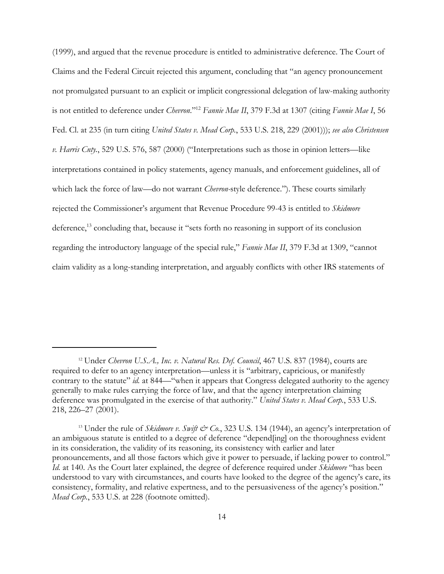(1999), and argued that the revenue procedure is entitled to administrative deference. The Court of Claims and the Federal Circuit rejected this argument, concluding that "an agency pronouncement not promulgated pursuant to an explicit or implicit congressional delegation of law-making authority is not entitled to deference under *Chevron*."12 *Fannie Mae II*, 379 F.3d at 1307 (citing *Fannie Mae I*, 56 Fed. Cl. at 235 (in turn citing *United States v. Mead Corp.*, 533 U.S. 218, 229 (2001))); *see also Christensen v. Harris Cnty.*, 529 U.S. 576, 587 (2000) ("Interpretations such as those in opinion letters—like interpretations contained in policy statements, agency manuals, and enforcement guidelines, all of which lack the force of law—do not warrant *Chevron-*style deference."). These courts similarly rejected the Commissioner's argument that Revenue Procedure 99-43 is entitled to *Skidmore* deference,13 concluding that, because it "sets forth no reasoning in support of its conclusion regarding the introductory language of the special rule," *Fannie Mae II*, 379 F.3d at 1309, "cannot claim validity as a long-standing interpretation, and arguably conflicts with other IRS statements of

<sup>12</sup> Under *Chevron U.S.A., Inc. v. Natural Res. Def. Council*, 467 U.S. 837 (1984), courts are required to defer to an agency interpretation—unless it is "arbitrary, capricious, or manifestly contrary to the statute" *id.* at 844—"when it appears that Congress delegated authority to the agency generally to make rules carrying the force of law, and that the agency interpretation claiming deference was promulgated in the exercise of that authority." *United States v. Mead Corp.*, 533 U.S. 218, 226–27 (2001).

<sup>&</sup>lt;sup>13</sup> Under the rule of *Skidmore v. Swift*  $\dot{\mathcal{C}}$  *Co.*, 323 U.S. 134 (1944), an agency's interpretation of an ambiguous statute is entitled to a degree of deference "depend[ing] on the thoroughness evident in its consideration, the validity of its reasoning, its consistency with earlier and later pronouncements, and all those factors which give it power to persuade, if lacking power to control." *Id.* at 140. As the Court later explained, the degree of deference required under *Skidmore* "has been understood to vary with circumstances, and courts have looked to the degree of the agency's care, its consistency, formality, and relative expertness, and to the persuasiveness of the agency's position." *Mead Corp.*, 533 U.S. at 228 (footnote omitted).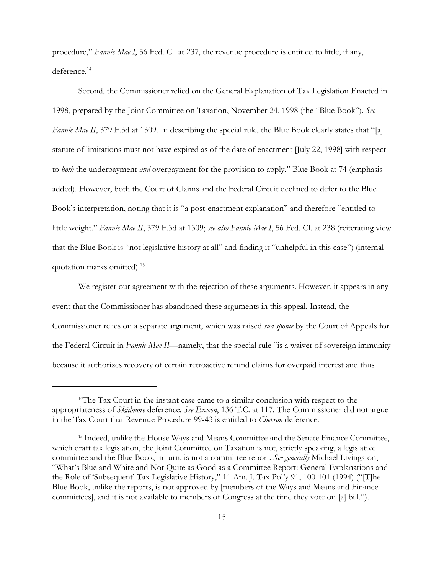procedure," *Fannie Mae I*, 56 Fed. Cl. at 237, the revenue procedure is entitled to little, if any, deference.<sup>14</sup>

Second, the Commissioner relied on the General Explanation of Tax Legislation Enacted in 1998, prepared by the Joint Committee on Taxation, November 24, 1998 (the "Blue Book"). *See Fannie Mae II*, 379 F.3d at 1309. In describing the special rule, the Blue Book clearly states that "[a] statute of limitations must not have expired as of the date of enactment [July 22, 1998] with respect to *both* the underpayment *and* overpayment for the provision to apply." Blue Book at 74 (emphasis added). However, both the Court of Claims and the Federal Circuit declined to defer to the Blue Book's interpretation, noting that it is "a post-enactment explanation" and therefore "entitled to little weight." *Fannie Mae II*, 379 F.3d at 1309; *see also Fannie Mae I*, 56 Fed. Cl. at 238 (reiterating view that the Blue Book is "not legislative history at all" and finding it "unhelpful in this case") (internal quotation marks omitted).15

We register our agreement with the rejection of these arguments. However, it appears in any event that the Commissioner has abandoned these arguments in this appeal. Instead, the Commissioner relies on a separate argument, which was raised *sua sponte* by the Court of Appeals for the Federal Circuit in *Fannie Mae II*—namely, that the special rule "is a waiver of sovereign immunity because it authorizes recovery of certain retroactive refund claims for overpaid interest and thus

<sup>14</sup>The Tax Court in the instant case came to a similar conclusion with respect to the appropriateness of *Skidmore* deference. *See Exxon*, 136 T.C. at 117. The Commissioner did not argue in the Tax Court that Revenue Procedure 99-43 is entitled to *Chevron* deference.

<sup>&</sup>lt;sup>15</sup> Indeed, unlike the House Ways and Means Committee and the Senate Finance Committee, which draft tax legislation, the Joint Committee on Taxation is not, strictly speaking, a legislative committee and the Blue Book, in turn, is not a committee report. *See generally* Michael Livingston, "What's Blue and White and Not Quite as Good as a Committee Report: General Explanations and the Role of 'Subsequent' Tax Legislative History," 11 Am. J. Tax Pol'y 91, 100-101 (1994) ("[T]he Blue Book, unlike the reports, is not approved by [members of the Ways and Means and Finance committees], and it is not available to members of Congress at the time they vote on [a] bill.").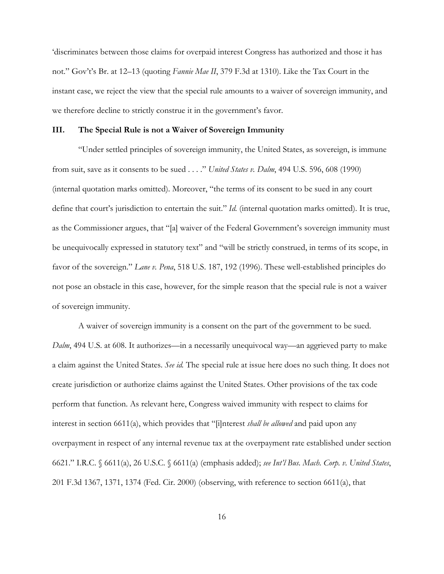'discriminates between those claims for overpaid interest Congress has authorized and those it has not." Gov't's Br. at 12–13 (quoting *Fannie Mae II*, 379 F.3d at 1310). Like the Tax Court in the instant case, we reject the view that the special rule amounts to a waiver of sovereign immunity, and we therefore decline to strictly construe it in the government's favor.

#### **III. The Special Rule is not a Waiver of Sovereign Immunity**

"Under settled principles of sovereign immunity, the United States, as sovereign, is immune from suit, save as it consents to be sued . . . ." *United States v. Dalm*, 494 U.S. 596, 608 (1990) (internal quotation marks omitted). Moreover, "the terms of its consent to be sued in any court define that court's jurisdiction to entertain the suit." *Id.* (internal quotation marks omitted). It is true, as the Commissioner argues, that "[a] waiver of the Federal Government's sovereign immunity must be unequivocally expressed in statutory text" and "will be strictly construed, in terms of its scope, in favor of the sovereign." *Lane v. Pena*, 518 U.S. 187, 192 (1996). These well-established principles do not pose an obstacle in this case, however, for the simple reason that the special rule is not a waiver of sovereign immunity.

A waiver of sovereign immunity is a consent on the part of the government to be sued. *Dalm*, 494 U.S. at 608. It authorizes—in a necessarily unequivocal way—an aggrieved party to make a claim against the United States. *See id.* The special rule at issue here does no such thing. It does not create jurisdiction or authorize claims against the United States. Other provisions of the tax code perform that function. As relevant here, Congress waived immunity with respect to claims for interest in section 6611(a), which provides that "[i]nterest *shall be allowed* and paid upon any overpayment in respect of any internal revenue tax at the overpayment rate established under section 6621." I.R.C. § 6611(a), 26 U.S.C. § 6611(a) (emphasis added); *see Int'l Bus. Mach. Corp. v. United States*, 201 F.3d 1367, 1371, 1374 (Fed. Cir. 2000) (observing, with reference to section 6611(a), that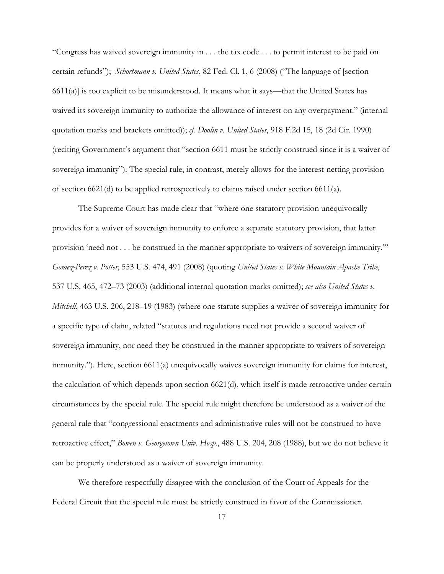"Congress has waived sovereign immunity in . . . the tax code . . . to permit interest to be paid on certain refunds"); *Schortmann v. United States*, 82 Fed. Cl. 1, 6 (2008) ("The language of [section  $6611(a)$  is too explicit to be misunderstood. It means what it says—that the United States has waived its sovereign immunity to authorize the allowance of interest on any overpayment." (internal quotation marks and brackets omitted)); *cf. Doolin v. United States*, 918 F.2d 15, 18 (2d Cir. 1990) (reciting Government's argument that "section 6611 must be strictly construed since it is a waiver of sovereign immunity"). The special rule, in contrast, merely allows for the interest-netting provision of section 6621(d) to be applied retrospectively to claims raised under section 6611(a).

The Supreme Court has made clear that "where one statutory provision unequivocally provides for a waiver of sovereign immunity to enforce a separate statutory provision, that latter provision 'need not . . . be construed in the manner appropriate to waivers of sovereign immunity.'" *Gomez-Perez v. Potter*, 553 U.S. 474, 491 (2008) (quoting *United States v. White Mountain Apache Tribe*, 537 U.S. 465, 472–73 (2003) (additional internal quotation marks omitted); *see also United States v. Mitchell*, 463 U.S. 206, 218–19 (1983) (where one statute supplies a waiver of sovereign immunity for a specific type of claim, related "statutes and regulations need not provide a second waiver of sovereign immunity, nor need they be construed in the manner appropriate to waivers of sovereign immunity."). Here, section 6611(a) unequivocally waives sovereign immunity for claims for interest, the calculation of which depends upon section 6621(d), which itself is made retroactive under certain circumstances by the special rule. The special rule might therefore be understood as a waiver of the general rule that "congressional enactments and administrative rules will not be construed to have retroactive effect," *Bowen v. Georgetown Univ. Hosp.*, 488 U.S. 204, 208 (1988), but we do not believe it can be properly understood as a waiver of sovereign immunity.

We therefore respectfully disagree with the conclusion of the Court of Appeals for the Federal Circuit that the special rule must be strictly construed in favor of the Commissioner.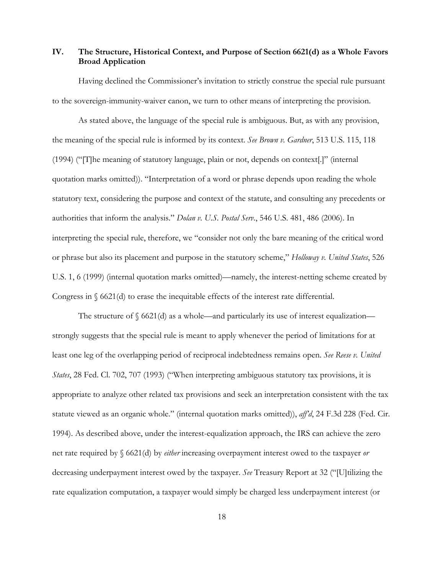# **IV. The Structure, Historical Context, and Purpose of Section 6621(d) as a Whole Favors Broad Application**

Having declined the Commissioner's invitation to strictly construe the special rule pursuant to the sovereign-immunity-waiver canon, we turn to other means of interpreting the provision.

As stated above, the language of the special rule is ambiguous. But, as with any provision, the meaning of the special rule is informed by its context. *See Brown v. Gardner*, 513 U.S. 115, 118 (1994) ("[T]he meaning of statutory language, plain or not, depends on context[.]" (internal quotation marks omitted)). "Interpretation of a word or phrase depends upon reading the whole statutory text, considering the purpose and context of the statute, and consulting any precedents or authorities that inform the analysis." *Dolan v. U.S. Postal Serv.*, 546 U.S. 481, 486 (2006). In interpreting the special rule, therefore, we "consider not only the bare meaning of the critical word or phrase but also its placement and purpose in the statutory scheme," *Holloway v. United States*, 526 U.S. 1, 6 (1999) (internal quotation marks omitted)—namely, the interest-netting scheme created by Congress in  $\S$  6621(d) to erase the inequitable effects of the interest rate differential.

The structure of  $\S 6621(d)$  as a whole—and particularly its use of interest equalization strongly suggests that the special rule is meant to apply whenever the period of limitations for at least one leg of the overlapping period of reciprocal indebtedness remains open. *See Reese v. United States*, 28 Fed. Cl. 702, 707 (1993) ("When interpreting ambiguous statutory tax provisions, it is appropriate to analyze other related tax provisions and seek an interpretation consistent with the tax statute viewed as an organic whole." (internal quotation marks omitted)), *aff'd*, 24 F.3d 228 (Fed. Cir. 1994). As described above, under the interest-equalization approach, the IRS can achieve the zero net rate required by § 6621(d) by *either* increasing overpayment interest owed to the taxpayer *or* decreasing underpayment interest owed by the taxpayer. *See* Treasury Report at 32 ("[U]tilizing the rate equalization computation, a taxpayer would simply be charged less underpayment interest (or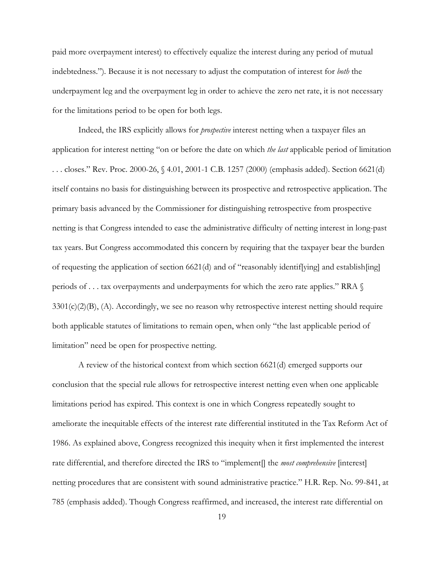paid more overpayment interest) to effectively equalize the interest during any period of mutual indebtedness.")*.* Because it is not necessary to adjust the computation of interest for *both* the underpayment leg and the overpayment leg in order to achieve the zero net rate, it is not necessary for the limitations period to be open for both legs.

Indeed, the IRS explicitly allows for *prospective* interest netting when a taxpayer files an application for interest netting "on or before the date on which *the last* applicable period of limitation . . . closes." Rev. Proc. 2000-26, § 4.01, 2001-1 C.B. 1257 (2000) (emphasis added). Section 6621(d) itself contains no basis for distinguishing between its prospective and retrospective application. The primary basis advanced by the Commissioner for distinguishing retrospective from prospective netting is that Congress intended to ease the administrative difficulty of netting interest in long-past tax years. But Congress accommodated this concern by requiring that the taxpayer bear the burden of requesting the application of section 6621(d) and of "reasonably identif[ying] and establish[ing] periods of . . . tax overpayments and underpayments for which the zero rate applies." RRA §  $3301(c)(2)(B)$ , (A). Accordingly, we see no reason why retrospective interest netting should require both applicable statutes of limitations to remain open, when only "the last applicable period of limitation" need be open for prospective netting.

A review of the historical context from which section 6621(d) emerged supports our conclusion that the special rule allows for retrospective interest netting even when one applicable limitations period has expired. This context is one in which Congress repeatedly sought to ameliorate the inequitable effects of the interest rate differential instituted in the Tax Reform Act of 1986. As explained above, Congress recognized this inequity when it first implemented the interest rate differential, and therefore directed the IRS to "implement[] the *most comprehensive* [interest] netting procedures that are consistent with sound administrative practice." H.R. Rep. No. 99-841, at 785 (emphasis added). Though Congress reaffirmed, and increased, the interest rate differential on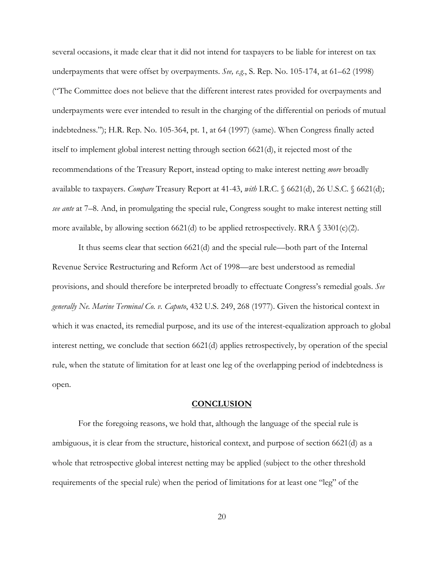several occasions, it made clear that it did not intend for taxpayers to be liable for interest on tax underpayments that were offset by overpayments. *See, e.g.*, S. Rep. No. 105-174, at 61–62 (1998) ("The Committee does not believe that the different interest rates provided for overpayments and underpayments were ever intended to result in the charging of the differential on periods of mutual indebtedness."); H.R. Rep. No. 105-364, pt. 1, at 64 (1997) (same). When Congress finally acted itself to implement global interest netting through section 6621(d), it rejected most of the recommendations of the Treasury Report, instead opting to make interest netting *more* broadly available to taxpayers. *Compare* Treasury Report at 41-43, *with* I.R.C. § 6621(d), 26 U.S.C. § 6621(d); *see ante* at 7–8. And, in promulgating the special rule, Congress sought to make interest netting still more available, by allowing section 6621(d) to be applied retrospectively. RRA  $\S$  3301(c)(2).

It thus seems clear that section 6621(d) and the special rule—both part of the Internal Revenue Service Restructuring and Reform Act of 1998—are best understood as remedial provisions, and should therefore be interpreted broadly to effectuate Congress's remedial goals. *See generally Ne. Marine Terminal Co. v. Caputo*, 432 U.S. 249, 268 (1977). Given the historical context in which it was enacted, its remedial purpose, and its use of the interest-equalization approach to global interest netting, we conclude that section 6621(d) applies retrospectively, by operation of the special rule, when the statute of limitation for at least one leg of the overlapping period of indebtedness is open.

### **CONCLUSION**

For the foregoing reasons, we hold that, although the language of the special rule is ambiguous, it is clear from the structure, historical context, and purpose of section 6621(d) as a whole that retrospective global interest netting may be applied (subject to the other threshold requirements of the special rule) when the period of limitations for at least one "leg" of the